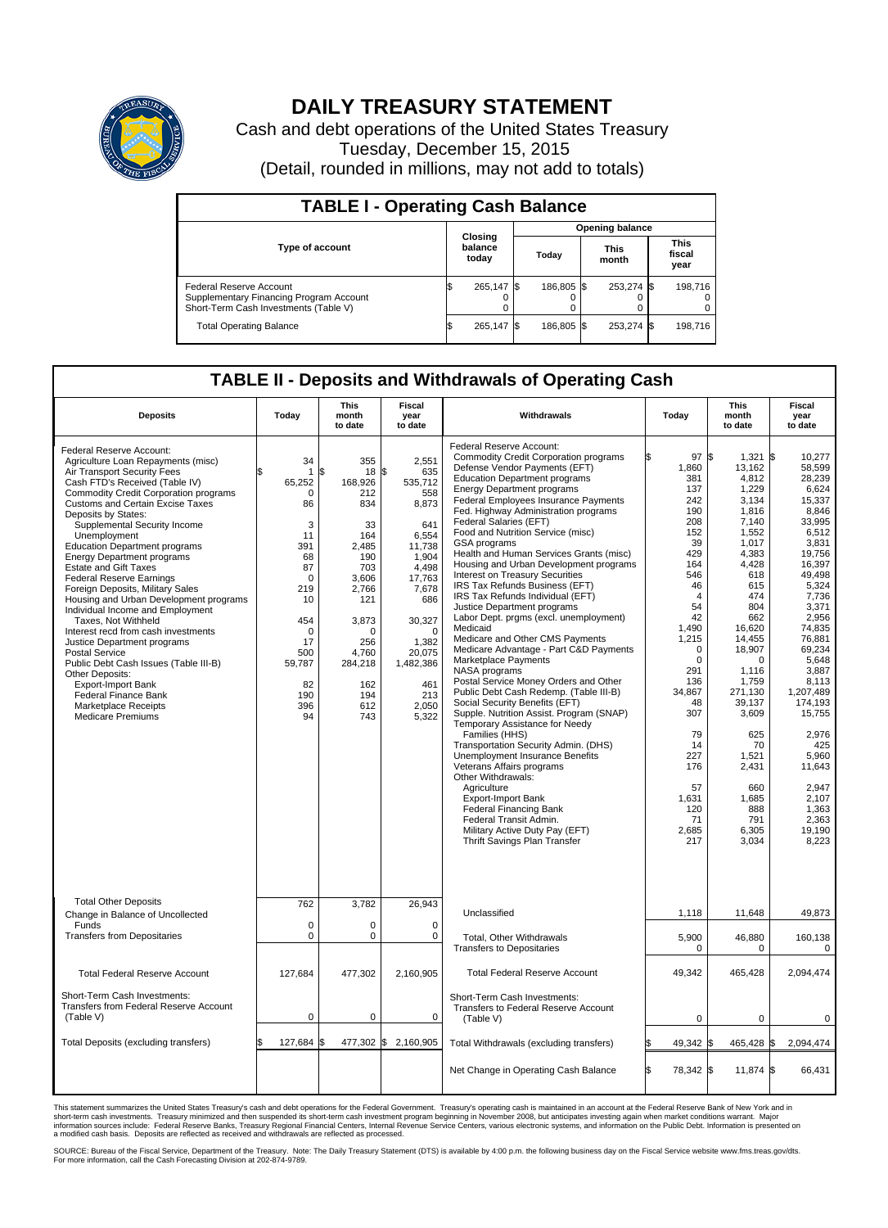

## **DAILY TREASURY STATEMENT**

Cash and debt operations of the United States Treasury Tuesday, December 15, 2015 (Detail, rounded in millions, may not add to totals)

| <b>TABLE I - Operating Cash Balance</b>                                                                     |                             |            |       |                        |                      |            |                               |         |  |  |  |
|-------------------------------------------------------------------------------------------------------------|-----------------------------|------------|-------|------------------------|----------------------|------------|-------------------------------|---------|--|--|--|
|                                                                                                             |                             |            |       | <b>Opening balance</b> |                      |            |                               |         |  |  |  |
| Type of account                                                                                             | Closing<br>balance<br>today |            | Today |                        | <b>This</b><br>month |            | <b>This</b><br>fiscal<br>year |         |  |  |  |
| Federal Reserve Account<br>Supplementary Financing Program Account<br>Short-Term Cash Investments (Table V) |                             | 265.147 \$ |       | 186.805 \$             |                      | 253,274 \$ |                               | 198.716 |  |  |  |
| <b>Total Operating Balance</b>                                                                              | ß.                          | 265,147 \$ |       | 186,805 \$             |                      | 253,274 \$ |                               | 198,716 |  |  |  |

## **TABLE II - Deposits and Withdrawals of Operating Cash**

| <b>Deposits</b>                                                                                                                                                                                                                                                                                                                                                                                                                                                                                                                                                                                                                                                                                                                                                                                                                                                       | Todav                                                                                                                                                                           | <b>This</b><br>month<br>to date                                                                                                                                               | Fiscal<br>year<br>to date                                                                                                                                                                           | Withdrawals                                                                                                                                                                                                                                                                                                                                                                                                                                                                                                                                                                                                                                                                                                                                                                                                                                                                                                                                                                                                                                                                                                                                                                                                                                                                                              | Today                                                                                                                                                                                                                                                                                 | <b>This</b><br>month<br>to date                                                                                                                                                                                                                                                                                     | Fiscal<br>year<br>to date                                                                                                                                                                                                                                                                                                                        |
|-----------------------------------------------------------------------------------------------------------------------------------------------------------------------------------------------------------------------------------------------------------------------------------------------------------------------------------------------------------------------------------------------------------------------------------------------------------------------------------------------------------------------------------------------------------------------------------------------------------------------------------------------------------------------------------------------------------------------------------------------------------------------------------------------------------------------------------------------------------------------|---------------------------------------------------------------------------------------------------------------------------------------------------------------------------------|-------------------------------------------------------------------------------------------------------------------------------------------------------------------------------|-----------------------------------------------------------------------------------------------------------------------------------------------------------------------------------------------------|----------------------------------------------------------------------------------------------------------------------------------------------------------------------------------------------------------------------------------------------------------------------------------------------------------------------------------------------------------------------------------------------------------------------------------------------------------------------------------------------------------------------------------------------------------------------------------------------------------------------------------------------------------------------------------------------------------------------------------------------------------------------------------------------------------------------------------------------------------------------------------------------------------------------------------------------------------------------------------------------------------------------------------------------------------------------------------------------------------------------------------------------------------------------------------------------------------------------------------------------------------------------------------------------------------|---------------------------------------------------------------------------------------------------------------------------------------------------------------------------------------------------------------------------------------------------------------------------------------|---------------------------------------------------------------------------------------------------------------------------------------------------------------------------------------------------------------------------------------------------------------------------------------------------------------------|--------------------------------------------------------------------------------------------------------------------------------------------------------------------------------------------------------------------------------------------------------------------------------------------------------------------------------------------------|
| Federal Reserve Account:<br>Agriculture Loan Repayments (misc)<br>Air Transport Security Fees<br>Cash FTD's Received (Table IV)<br><b>Commodity Credit Corporation programs</b><br><b>Customs and Certain Excise Taxes</b><br>Deposits by States:<br>Supplemental Security Income<br>Unemployment<br><b>Education Department programs</b><br><b>Energy Department programs</b><br><b>Estate and Gift Taxes</b><br><b>Federal Reserve Earnings</b><br>Foreign Deposits, Military Sales<br>Housing and Urban Development programs<br>Individual Income and Employment<br>Taxes. Not Withheld<br>Interest recd from cash investments<br>Justice Department programs<br>Postal Service<br>Public Debt Cash Issues (Table III-B)<br>Other Deposits:<br><b>Export-Import Bank</b><br><b>Federal Finance Bank</b><br><b>Marketplace Receipts</b><br><b>Medicare Premiums</b> | 34<br>$\mathbf{1}$<br>65,252<br>$\Omega$<br>86<br>3<br>11<br>391<br>68<br>87<br>$\mathbf 0$<br>219<br>10<br>454<br>$\mathbf 0$<br>17<br>500<br>59,787<br>82<br>190<br>396<br>94 | 355<br>\$<br>18 \$<br>168.926<br>212<br>834<br>33<br>164<br>2.485<br>190<br>703<br>3,606<br>2,766<br>121<br>3,873<br>O<br>256<br>4,760<br>284,218<br>162<br>194<br>612<br>743 | 2,551<br>635<br>535,712<br>558<br>8,873<br>641<br>6,554<br>11,738<br>1.904<br>4,498<br>17,763<br>7,678<br>686<br>30,327<br>$\Omega$<br>1,382<br>20,075<br>1,482,386<br>461<br>213<br>2,050<br>5,322 | Federal Reserve Account:<br><b>Commodity Credit Corporation programs</b><br>Defense Vendor Payments (EFT)<br><b>Education Department programs</b><br><b>Energy Department programs</b><br><b>Federal Employees Insurance Payments</b><br>Fed. Highway Administration programs<br>Federal Salaries (EFT)<br>Food and Nutrition Service (misc)<br>GSA programs<br>Health and Human Services Grants (misc)<br>Housing and Urban Development programs<br><b>Interest on Treasury Securities</b><br>IRS Tax Refunds Business (EFT)<br>IRS Tax Refunds Individual (EFT)<br>Justice Department programs<br>Labor Dept. prgms (excl. unemployment)<br>Medicaid<br>Medicare and Other CMS Payments<br>Medicare Advantage - Part C&D Payments<br>Marketplace Payments<br>NASA programs<br>Postal Service Money Orders and Other<br>Public Debt Cash Redemp. (Table III-B)<br>Social Security Benefits (EFT)<br>Supple. Nutrition Assist. Program (SNAP)<br>Temporary Assistance for Needy<br>Families (HHS)<br>Transportation Security Admin. (DHS)<br>Unemployment Insurance Benefits<br>Veterans Affairs programs<br>Other Withdrawals:<br>Agriculture<br><b>Export-Import Bank</b><br><b>Federal Financing Bank</b><br>Federal Transit Admin.<br>Military Active Duty Pay (EFT)<br>Thrift Savings Plan Transfer | 97<br>\$<br>1,860<br>381<br>137<br>242<br>190<br>208<br>152<br>39<br>429<br>164<br>546<br>46<br>$\overline{4}$<br>54<br>42<br>1.490<br>1,215<br>$\mathbf 0$<br>$\mathbf 0$<br>291<br>136<br>34,867<br>48<br>307<br>79<br>14<br>227<br>176<br>57<br>1,631<br>120<br>71<br>2,685<br>217 | l\$<br>1,321<br>13,162<br>4,812<br>1,229<br>3,134<br>1,816<br>7,140<br>1.552<br>1,017<br>4,383<br>4.428<br>618<br>615<br>474<br>804<br>662<br>16.620<br>14,455<br>18,907<br>$\Omega$<br>1.116<br>1,759<br>271,130<br>39,137<br>3,609<br>625<br>70<br>1,521<br>2,431<br>660<br>1,685<br>888<br>791<br>6,305<br>3,034 | l\$<br>10.277<br>58,599<br>28,239<br>6,624<br>15,337<br>8,846<br>33,995<br>6,512<br>3,831<br>19.756<br>16,397<br>49,498<br>5,324<br>7,736<br>3,371<br>2,956<br>74.835<br>76,881<br>69,234<br>5,648<br>3.887<br>8,113<br>1.207.489<br>174,193<br>15,755<br>2,976<br>425<br>5,960<br>11,643<br>2,947<br>2,107<br>1,363<br>2,363<br>19,190<br>8,223 |
| <b>Total Other Deposits</b><br>Change in Balance of Uncollected                                                                                                                                                                                                                                                                                                                                                                                                                                                                                                                                                                                                                                                                                                                                                                                                       | 762                                                                                                                                                                             | 3,782                                                                                                                                                                         | 26,943                                                                                                                                                                                              | Unclassified                                                                                                                                                                                                                                                                                                                                                                                                                                                                                                                                                                                                                                                                                                                                                                                                                                                                                                                                                                                                                                                                                                                                                                                                                                                                                             | 1,118                                                                                                                                                                                                                                                                                 | 11,648                                                                                                                                                                                                                                                                                                              | 49,873                                                                                                                                                                                                                                                                                                                                           |
| Funds<br><b>Transfers from Depositaries</b>                                                                                                                                                                                                                                                                                                                                                                                                                                                                                                                                                                                                                                                                                                                                                                                                                           | $\mathbf 0$<br>$\mathbf 0$                                                                                                                                                      | 0<br>0                                                                                                                                                                        | $\mathbf 0$<br>$\mathbf 0$                                                                                                                                                                          | Total, Other Withdrawals<br><b>Transfers to Depositaries</b>                                                                                                                                                                                                                                                                                                                                                                                                                                                                                                                                                                                                                                                                                                                                                                                                                                                                                                                                                                                                                                                                                                                                                                                                                                             | 5,900<br>0                                                                                                                                                                                                                                                                            | 46,880<br>$\mathbf 0$                                                                                                                                                                                                                                                                                               | 160,138<br>0                                                                                                                                                                                                                                                                                                                                     |
| <b>Total Federal Reserve Account</b>                                                                                                                                                                                                                                                                                                                                                                                                                                                                                                                                                                                                                                                                                                                                                                                                                                  | 127.684                                                                                                                                                                         | 477,302                                                                                                                                                                       | 2,160,905                                                                                                                                                                                           | <b>Total Federal Reserve Account</b>                                                                                                                                                                                                                                                                                                                                                                                                                                                                                                                                                                                                                                                                                                                                                                                                                                                                                                                                                                                                                                                                                                                                                                                                                                                                     | 49,342                                                                                                                                                                                                                                                                                | 465,428                                                                                                                                                                                                                                                                                                             | 2,094,474                                                                                                                                                                                                                                                                                                                                        |
| Short-Term Cash Investments:<br><b>Transfers from Federal Reserve Account</b><br>(Table V)                                                                                                                                                                                                                                                                                                                                                                                                                                                                                                                                                                                                                                                                                                                                                                            | $\mathbf 0$                                                                                                                                                                     | 0                                                                                                                                                                             | 0                                                                                                                                                                                                   | Short-Term Cash Investments:<br>Transfers to Federal Reserve Account<br>(Table V)                                                                                                                                                                                                                                                                                                                                                                                                                                                                                                                                                                                                                                                                                                                                                                                                                                                                                                                                                                                                                                                                                                                                                                                                                        | $\mathbf 0$                                                                                                                                                                                                                                                                           | $\mathbf 0$                                                                                                                                                                                                                                                                                                         | 0                                                                                                                                                                                                                                                                                                                                                |
| Total Deposits (excluding transfers)                                                                                                                                                                                                                                                                                                                                                                                                                                                                                                                                                                                                                                                                                                                                                                                                                                  | 127,684                                                                                                                                                                         | 477,302 \$<br>l\$                                                                                                                                                             | 2,160,905                                                                                                                                                                                           | Total Withdrawals (excluding transfers)                                                                                                                                                                                                                                                                                                                                                                                                                                                                                                                                                                                                                                                                                                                                                                                                                                                                                                                                                                                                                                                                                                                                                                                                                                                                  | 49,342                                                                                                                                                                                                                                                                                | 465,428<br>1\$                                                                                                                                                                                                                                                                                                      | 2,094,474<br>1\$                                                                                                                                                                                                                                                                                                                                 |
|                                                                                                                                                                                                                                                                                                                                                                                                                                                                                                                                                                                                                                                                                                                                                                                                                                                                       |                                                                                                                                                                                 |                                                                                                                                                                               |                                                                                                                                                                                                     | Net Change in Operating Cash Balance                                                                                                                                                                                                                                                                                                                                                                                                                                                                                                                                                                                                                                                                                                                                                                                                                                                                                                                                                                                                                                                                                                                                                                                                                                                                     | \$<br>78,342 \$                                                                                                                                                                                                                                                                       | 11,874 \$                                                                                                                                                                                                                                                                                                           | 66,431                                                                                                                                                                                                                                                                                                                                           |

This statement summarizes the United States Treasury's cash and debt operations for the Federal Government. Treasury's operating cash is maintained in an account at the Federal Reserve Bank of New York and in<br>short-term ca

SOURCE: Bureau of the Fiscal Service, Department of the Treasury. Note: The Daily Treasury Statement (DTS) is available by 4:00 p.m. the following business day on the Fiscal Service website www.fms.treas.gov/dts.<br>For more